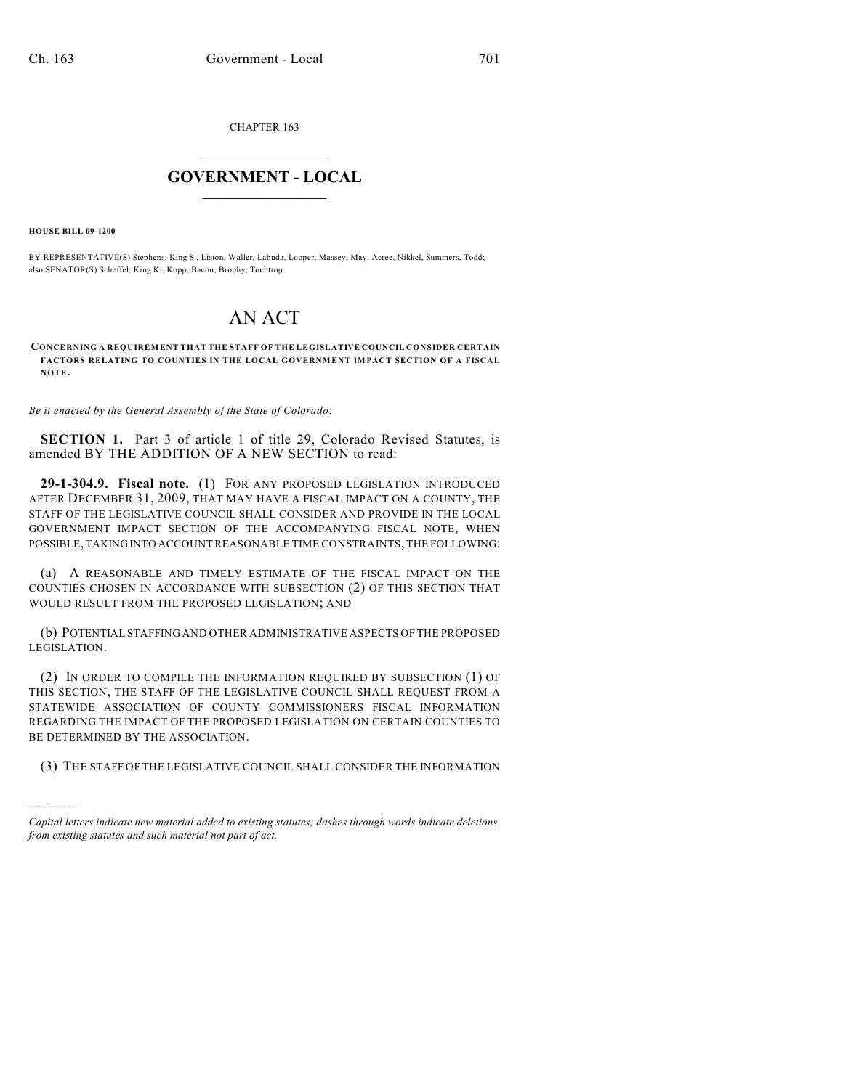CHAPTER 163

## $\overline{\phantom{a}}$  . The set of the set of the set of the set of the set of the set of the set of the set of the set of the set of the set of the set of the set of the set of the set of the set of the set of the set of the set o **GOVERNMENT - LOCAL**  $\_$

**HOUSE BILL 09-1200**

)))))

BY REPRESENTATIVE(S) Stephens, King S., Liston, Waller, Labuda, Looper, Massey, May, Acree, Nikkel, Summers, Todd; also SENATOR(S) Scheffel, King K., Kopp, Bacon, Brophy, Tochtrop.

## AN ACT

## **CONCERNING A REQUIREMENT THAT THE STAFF OF THE LEGISLATIVE COUNCIL CONSIDER CERTAIN FACTORS RELATING TO COUNTIES IN THE LOCAL GOVERNMENT IMPACT SECTION OF A FISCAL NOTE.**

*Be it enacted by the General Assembly of the State of Colorado:*

**SECTION 1.** Part 3 of article 1 of title 29, Colorado Revised Statutes, is amended BY THE ADDITION OF A NEW SECTION to read:

**29-1-304.9. Fiscal note.** (1) FOR ANY PROPOSED LEGISLATION INTRODUCED AFTER DECEMBER 31, 2009, THAT MAY HAVE A FISCAL IMPACT ON A COUNTY, THE STAFF OF THE LEGISLATIVE COUNCIL SHALL CONSIDER AND PROVIDE IN THE LOCAL GOVERNMENT IMPACT SECTION OF THE ACCOMPANYING FISCAL NOTE, WHEN POSSIBLE, TAKING INTO ACCOUNT REASONABLE TIME CONSTRAINTS, THE FOLLOWING:

(a) A REASONABLE AND TIMELY ESTIMATE OF THE FISCAL IMPACT ON THE COUNTIES CHOSEN IN ACCORDANCE WITH SUBSECTION (2) OF THIS SECTION THAT WOULD RESULT FROM THE PROPOSED LEGISLATION; AND

(b) POTENTIAL STAFFING AND OTHER ADMINISTRATIVE ASPECTS OF THE PROPOSED LEGISLATION.

(2) IN ORDER TO COMPILE THE INFORMATION REQUIRED BY SUBSECTION (1) OF THIS SECTION, THE STAFF OF THE LEGISLATIVE COUNCIL SHALL REQUEST FROM A STATEWIDE ASSOCIATION OF COUNTY COMMISSIONERS FISCAL INFORMATION REGARDING THE IMPACT OF THE PROPOSED LEGISLATION ON CERTAIN COUNTIES TO BE DETERMINED BY THE ASSOCIATION.

(3) THE STAFF OF THE LEGISLATIVE COUNCIL SHALL CONSIDER THE INFORMATION

*Capital letters indicate new material added to existing statutes; dashes through words indicate deletions from existing statutes and such material not part of act.*